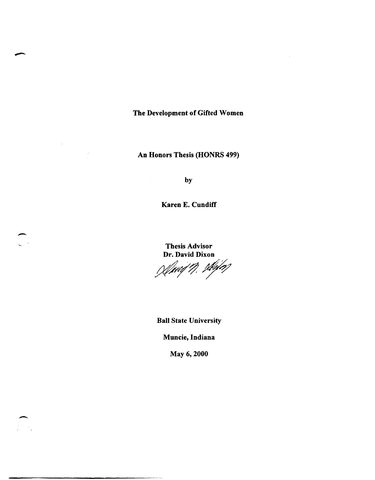The Development of Gifted Women

An Honors Thesis (HONRS 499)

by

Karen E. Cundiff

Thesis Advisor Dr. David Dixon

) Simil 11, styler

Ball State University

Muncie, Indiana

May 6, 2000

-

 $\mathcal{A}$ 

 $\label{eq:2} \frac{1}{\sqrt{2\pi}}\frac{1}{\sqrt{2\pi}}\frac{d\omega}{2\pi}$ 

 $\frac{1}{2}$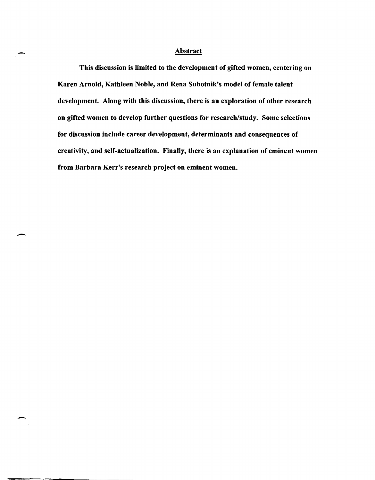## **Abstract**

-

 $\overline{\phantom{a}}$ 

-

This discussion is limited to the development of gifted women, centering on Karen Arnold, Kathleen Noble, and Rena Subotnik's model of female talent development. Along with this discussion, there is an exploration of other research on gifted women to develop further questions for research/study. Some selections for discussion include career development, determinants and consequences of creativity, and self-actualization. Finally, there is an explanation of eminent women from Barbara Kerr's research project on eminent women.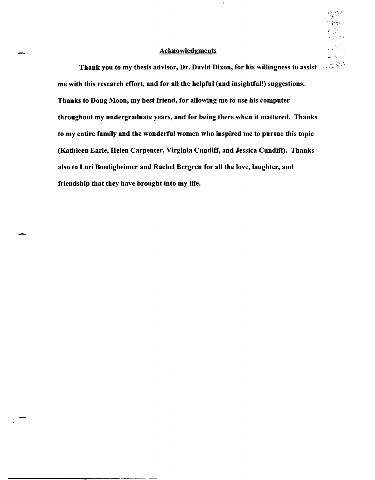## **Acknowledgments**

 $\mathbb{S}_p$ C $\oplus$  $; \nu$ e $\cup$  '

 $\sim$   $\infty$  $.286$ 

 $\hat{\mathbf{z}}$ 

Thank you to my thesis advisor, Dr. David Dixon, for his willingness to assist me with this research effort, and for all the helpful (and insightful!) suggestions. Thanks to Doug Moon, my best friend, for allowing me to use his computer throughout my undergraduate years, and for being there when it mattered. Thanks to my entire family and the wonderful women who inspired me to pursue this topic (Kathleen Earle, Helen Carpenter, Virginia Cundiff, and Jessica Cundiff). Thanks also to Lori Boedigheimer and Rachel Bergren for all the love, laughter, and friendship that they have brought into my life.

-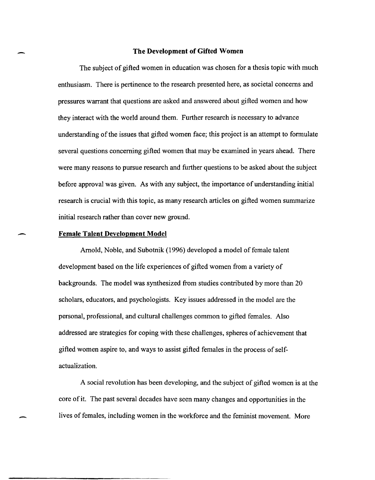## **The Development of Gifted Women**

The subject of gifted women in education was chosen for a thesis topic with much enthusiasm. There is pertinence to the research presented here, as societal concerns and pressures warrant that questions are asked and answered about gifted women and how they interact with the world around them. Further research is necessary to advance understanding of the issues that gifted women face; this project is an attempt to formulate several questions concerning gifted women that may be examined in years ahead. There were many reasons to pursue research and further questions to be asked about the subject before approval was given. As with any subject, the importance of understanding initial research is crucial with this topic, as many research articles on gifted women summarize initial research rather than cover new ground.

#### **Female Talent Development Model**

-

-

-

Arnold, Noble, and Subotnik (1996) developed a model of female talent development based on the life experiences of gifted women from a variety of backgrounds. The model was synthesized from studies contributed by more than 20 scholars, educators, and psychologists. Key issues addressed in the model are the personal, professional, and cultural challenges common to gifted females. Also addressed are strategies for coping with these challenges, spheres of achievement that gifted women aspire to, and ways to assist gifted females in the process of selfactualization.

A social revolution has been developing, and the subject of gifted women is at the core of it. The past several decades have seen many changes and opportunities in the lives of females, including women in the workforce and the feminist movement. More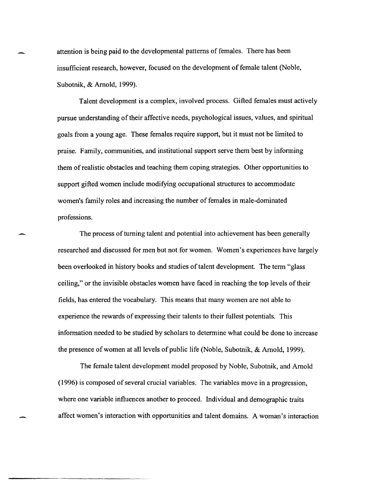attention is being paid to the developmental patterns of females. There has been insufficient research, however, focused on the development of female talent (Noble, Subotnik, & Arnold, 1999).

Talent development is a complex, involved process. Gifted females must actively pursue understanding of their affective needs, psychological issues, values, and spiritual goals from a young age. These females require support, but it must not be limited to praise. Family, communities, and institutional support serve them best by informing them of realistic obstacles and teaching them coping strategies. Other opportunities to support gifted women include modifying occupational structures to accommodate women's family roles and increasing the number of females in male-dominated professions.

The process of turning talent and potential into achievement has been generally researched and discussed for men but not for women. Women's experiences have largely been overlooked in history books and studies of talent development. The term "glass ceiling," or the invisible obstacles women have faced in reaching the top levels of their fields, has entered the vocabulary. This means that many women are not able to experience the rewards of expressing their talents to their fullest potentials. This information needed to be studied by scholars to determine what could be done to increase the presence of women at all levels of public life (Noble, Subotnik, & Arnold, 1999).

--

The female talent development model proposed by Noble, Subotnik, and Arnold (1996) is composed of several crucial variables. The variables move in a progression, where one variable influences another to proceed. Individual and demographic traits affect women's interaction with opportunities and talent domains. A woman's interaction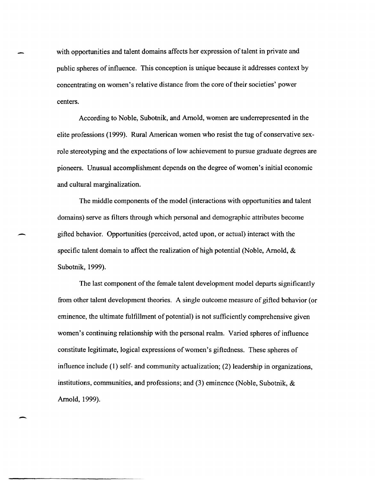with opportunities and talent domains affects her expression of talent in private and public spheres of influence. This conception is unique because it addresses context by concentrating on women's relative distance from the core of their societies' power centers.

According to Noble, Subotnik, and Arnold, women are underrepresented in the elite professions (1999). Rural American women who resist the tug of conservative sexrole stereotyping and the expectations of low achievement to pursue graduate degrees are pioneers. Unusual accomplishment depends on the degree of women's initial economic and cultural marginalization.

The middle components of the model (interactions with opportunities and talent domains) serve as filters through which personal and demographic attributes become gifted behavior. Opportunities (perceived, acted upon, or actual) interact with the specific talent domain to affect the realization of high potential (Noble, Arnold, & Subotnik, 1999).

-

-

The last component of the female talent development model departs significantly from other talent development theories. A single outcome measure of gifted behavior (or eminence, the ultimate fulfillment of potential) is not sufficiently comprehensive given women's continuing relationship with the personal realm. Varied spheres of influence constitute legitimate, logical expressions of women's giftedness. These spheres of influence include (1) self- and community actualization; (2) leadership in organizations, institutions, communities, and professions; and (3) eminence (Noble, Subotnik, & Arnold, 1999).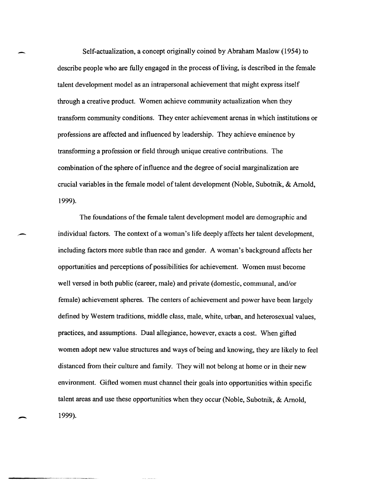Self-actualization, a concept originally coined by Abraham Maslow (1954) to describe people who are fully engaged in the process of living, is described in the female talent development model as an intrapersonal achievement that might express itself through a creative product. Women achieve community actualization when they transform community conditions. They enter achievement arenas in which institutions or professions are affected and influenced by leadership. They achieve eminence by transforming a profession or field through unique creative contributions. The combination of the sphere of influence and the degree of social marginalization are crucial variables in the female model oftalent development (Noble, Subotnik, & Arnold, 1999).

-

,-

-

The foundations of the female talent development model are demographic and individual factors. The context of a woman's life deeply affects her talent development, including factors more subtle than race and gender. A woman's background affects her opportunities and perceptions of possibilities for achievement. Women must become well versed in both public (career, male) and private (domestic, communal, and/or female) achievement spheres. The centers of achievement and power have been largely defined by Western traditions, middle class, male, white, urban, and heterosexual values, practices, and assumptions. Dual allegiance, however, exacts a cost. When gifted women adopt new value structures and ways of being and knowing, they are likely to feel distanced from their culture and family. They will not belong at home or in their new environment. Gifted women must channel their goals into opportunities within specific talent areas and use these opportunities when they occur (Noble, Subotnik, & Arnold, 1999).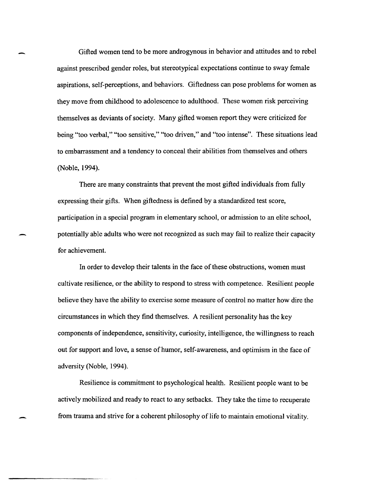Gifted women tend to be more androgynous in behavior and attitudes and to rebel against prescribed gender roles, but stereotypical expectations continue to sway female aspirations, self-perceptions, and behaviors. Giftedness can pose problems for women as they move from childhood to adolescence to adulthood. These women risk perceiving themselves as deviants of society. Many gifted women report they were criticized for being "too verbal," "too sensitive," "too driven," and "too intense". These situations lead to embarrassment and a tendency to conceal their abilities from themselves and others (Noble, 1994).

There are many constraints that prevent the most gifted individuals from fully expressing their gifts. When giftedness is defined by a standardized test score, participation in a special program in elementary school, or admission to an elite school, potentially able adults who were not recognized as such may fail to realize their capacity for achievement.

-

In order to develop their talents in the face of these obstructions, women must cultivate resilience, or the ability to respond to stress with competence. Resilient people believe they have the ability to exercise some measure of control no matter how dire the circumstances in which they find themselves. A resilient personality has the key components of independence, sensitivity, curiosity, intelligence, the willingness to reach out for support and love, a sense of humor, self-awareness, and optimism in the face of adversity (Noble, 1994).

Resilience is commitment to psychological health. Resilient people want to be actively mobilized and ready to react to any setbacks. They take the time to recuperate from trauma and strive for a coherent philosophy of life to maintain emotional vitality.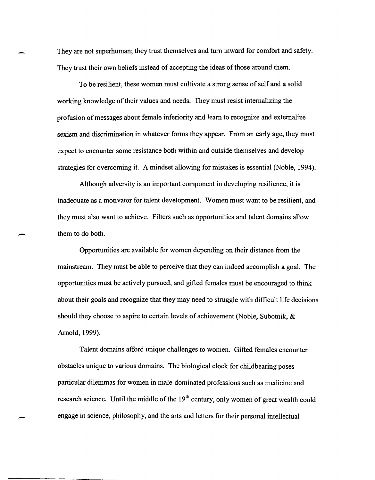They are not superhuman; they trust themselves and tum inward for comfort and safety. They trust their own beliefs instead of accepting the ideas of those around them.

To be resilient, these women must cultivate a strong sense of self and a solid working knowledge of their values and needs. They must resist internalizing the profusion of messages about female inferiority and learn to recognize and externalize sexism and discrimination in whatever forms they appear. From an early age, they must expect to encounter some resistance both within and outside themselves and develop strategies for overcoming it. A mindset allowing for mistakes is essential (Noble, 1994).

Although adversity is an important component in developing resilience, it is inadequate as a motivator for talent development. Women must want to be resilient, and they must also want to achieve. Filters such as opportunities and talent domains allow them to do both.

-

-

Opportunities are available for women depending on their distance from the mainstream. They must be able to perceive that they can indeed accomplish a goal. The opportunities must be actively pursued, and gifted females must be encouraged to think about their goals and recognize that they may need to struggle with difficult life decisions should they choose to aspire to certain levels of achievement (Noble, Subotnik, & Arnold, 1999).

Talent domains afford unique challenges to women. Gifted females encounter obstacles unique to various domains. The biological clock for childbearing poses particular dilemmas for women in male-dominated professions such as medicine and research science. Until the middle of the  $19<sup>th</sup>$  century, only women of great wealth could engage in science, philosophy, and the arts and letters for their personal intellectual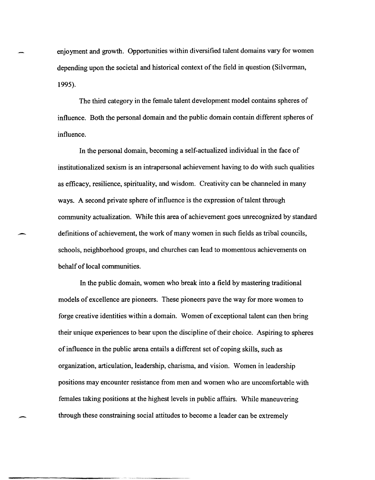enjoyment and growth. Opportunities within diversified talent domains vary for women depending upon the societal and historical context of the field in question (Silverman, 1995).

The third category in the female talent development model contains spheres of influence. Both the personal domain and the public domain contain different spheres of influence.

In the personal domain, becoming a self-actualized individual in the face of institutionalized sexism is an intrapersonal achievement having to do with such qualities as efficacy, resilience, spirituality, and wisdom. Creativity can be channeled in many ways. A second private sphere of influence is the expression of talent through community actualization. While this area of achievement goes unrecognized by standard definitions of achievement, the work of many women in such fields as tribal councils, schools, neighborhood groups, and churches can lead to momentous achievements on behalf of local communities.

-

,-

--------------- -- --.----- ----

In the public domain, women who break into a field by mastering traditional models of excellence are pioneers. These pioneers pave the way for more women to forge creative identities within a domain. Women of exceptional talent can then bring their unique experiences to bear upon the discipline of their choice. Aspiring to spheres of influence in the public arena entails a different set of coping skills, such as organization, articulation, leadership, charisma, and vision. Women in leadership positions may encounter resistance from men and women who are uncomfortable with females taking positions at the highest levels in public affairs. While maneuvering through these constraining social attitudes to become a leader can be extremely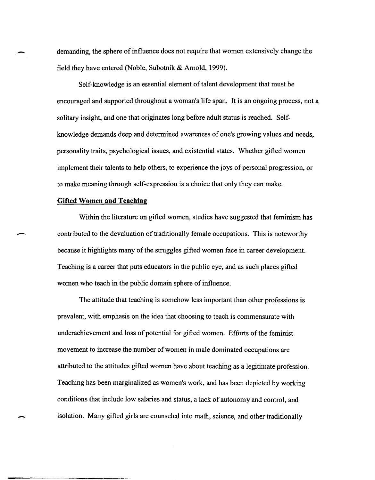demanding, the sphere of influence does not require that women extensively change the field they have entered (Noble, Subotnik & Arnold, 1999).

Self-knowledge is an essential element of talent development that must be encouraged and supported throughout a woman's life span. It is an ongoing process, not a solitary insight, and one that originates long before adult status is reached. Selfknowledge demands deep and determined awareness of one's growing values and needs, personality traits, psychological issues, and existential states. Whether gifted women implement their talents to help others, to experience the joys of personal progression, or to make meaning through self-expression is a choice that only they can make.

## **Gifted Women and Teaching**

-

-

-----------------

Within the literature on gifted women, studies have suggested that feminism has contributed to the devaluation of traditionally female occupations. This is noteworthy because it highlights many of the struggles gifted women face in career development. Teaching is a career that puts educators in the public eye, and as such places gifted women who teach in the public domain sphere of influence.

The attitude that teaching is somehow less important than other professions is prevalent, with emphasis on the idea that choosing to teach is commensurate with underachievement and loss of potential for gifted women. Efforts of the feminist movement to increase the number of women in male dominated occupations are attributed to the attitudes gifted women have about teaching as a legitimate profession. Teaching has been marginalized as women's work, and has been depicted by working conditions that include low salaries and status, a lack of autonomy and control, and isolation. Many gifted girls are counseled into math, science, and other traditionally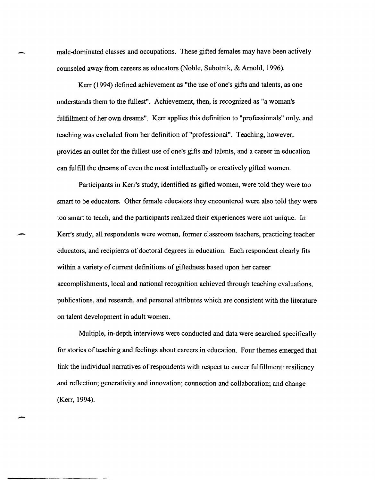male-dominated classes and occupations. These gifted females may have been actively counseled away from careers as educators (Noble, Subotnik, & Arnold, 1996).

Kerr (1994) defined achievement as "the use of one's gifts and talents, as one understands them to the fullest". Achievement, then, is recognized as "a woman's fulfillment of her own dreams". Kerr applies this definition to "professionals" only, and teaching was excluded from her definition of "professional". Teaching, however, provides an outlet for the fullest use of one's gifts and talents, and a career in education can fulfill the dreams of even the most intellectually or creatively gifted women.

Participants in Kerr's study, identified as gifted women, were told they were too smart to be educators. Other female educators they encountered were also told they were too smart to teach, and the participants realized their experiences were not unique. In Kerr's study, all respondents were women, former classroom teachers, practicing teacher educators, and recipients of doctoral degrees in education. Each respondent clearly fits within a variety of current definitions of giftedness based upon her career accomplishments, local and national recognition achieved through teaching evaluations, publications, and research, and personal attributes which are consistent with the literature on talent development in adult women.

-

-

Multiple, in-depth interviews were conducted and data were searched specifically for stories of teaching and feelings about careers in education. Four themes emerged that link the individual narratives of respondents with respect to career fulfillment: resiliency and reflection; generativity and innovation; connection and collaboration; and change (Kerr, 1994).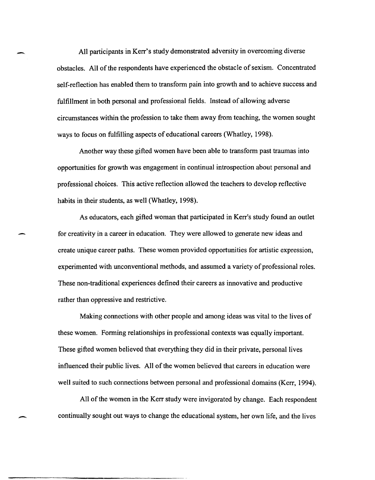All participants in Kerr's study demonstrated adversity in overcoming diverse obstacles. All of the respondents have experienced the obstacle of sexism. Concentrated self-reflection has enabled them to transform pain into growth and to achieve success and fulfillment in both personal and professional fields. Instead of allowing adverse circumstances within the profession to take them away from teaching, the women sought ways to focus on fulfilling aspects of educational careers (Whatley, 1998).

-

-

-

Another way these gifted women have been able to transform past traumas into opportunities for growth was engagement in continual introspection about personal and professional choices. This active reflection allowed the teachers to develop reflective habits in their students, as well (Whatley, 1998).

As educators, each gifted woman that participated in Kerr's study found an outlet for creativity in a career in education. They were allowed to generate new ideas and create unique career paths. These women provided opportunities for artistic expression, experimented with unconventional methods, and assumed a variety of professional roles. These non-traditional experiences defined their careers as innovative and productive rather than oppressive and restrictive.

Making connections with other people and among ideas was vital to the lives of these women. Forming relationships in professional contexts was equally important. These gifted women believed that everything they did in their private, personal lives influenced their public lives. All of the women believed that careers in education were well suited to such connections between personal and professional domains (Kerr, 1994).

All of the women in the Kerr study were invigorated by change. Each respondent continually sought out ways to change the educational system, her own life, and the lives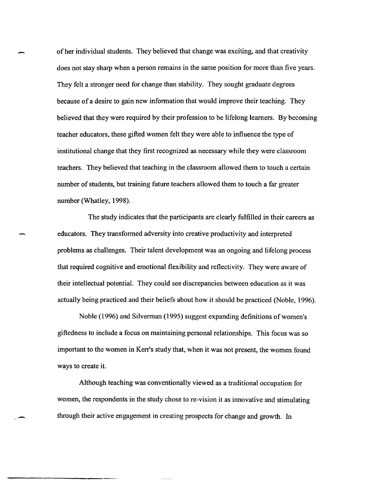of her individual students. They believed that change was exciting, and that creativity does not stay sharp when a person remains in the same position for more than five years. They felt a stronger need for change than stability. They sought graduate degrees because of a desire to gain new information that would improve their teaching. They believed that they were required by their profession to be lifelong learners. By becoming teacher educators, these gifted women felt they were able to influence the type of institutional change that they first recognized as necessary while they were classroom teachers. They believed that teaching in the classroom allowed them to touch a certain number of students, but training future teachers allowed them to touch a far greater number (Whatley, 1998).

The study indicates that the participants are clearly fulfilled in their careers as educators. They transformed adversity into creative productivity and interpreted problems as challenges. Their talent development was an ongoing and lifelong process that required cognitive and emotional flexibility and reflectivity. They were aware of their intellectual potential. They could see discrepancies between education as it was actually being practiced and their beliefs about how it should be practiced (Noble, 1996).

Noble (1996) and Silverman (1995) suggest expanding definitions of women's giftedness to include a focus on maintaining personal relationships. This focus was so important to the women in Kerr's study that, when it was not present, the women found ways to create it.

Although teaching was conventionally viewed as a traditional occupation for women, the respondents in the study chose to re-vision it as innovative and stimulating through their active engagement in creating prospects for change and growth. In

-.

----------,----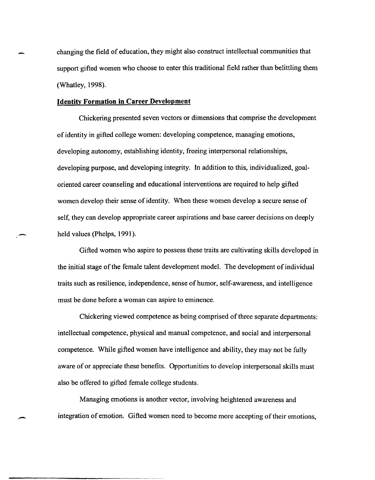changing the field of education, they might also construct intellectual communities that support gifted women who choose to enter this traditional field rather than belittling them (Whatley, 1998).

## **Identity Formation in Career Development**

-

Chickering presented seven vectors or dimensions that comprise the development of identity in gifted college women: developing competence, managing emotions, developing autonomy, establishing identity, freeing interpersonal relationships, developing purpose, and developing integrity. In addition to this, individualized, goaloriented career counseling and educational interventions are required to help gifted women develop their sense of identity. When these women develop a secure sense of self, they can develop appropriate career aspirations and base career decisions on deeply held values (Phelps, 1991).

Gifted women who aspire to possess these traits are cultivating skills developed in the initial stage of the female talent development model. The development of individual traits such as resilience, independence, sense of humor, self-awareness, and intelligence must be done before a woman can aspire to eminence.

Chickering viewed competence as being comprised of three separate departments: intellectual competence, physical and manual competence, and social and interpersonal competence. While gifted women have intelligence and ability, they may not be fully aware of or appreciate these benefits. Opportunities to develop interpersonal skills must also be offered to gifted female college students.

Managing emotions is another vector, involving heightened awareness and integration of emotion. Gifted women need to become more accepting of their emotions,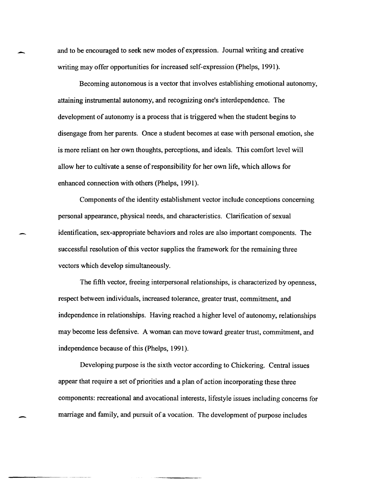and to be encouraged to seek new modes of expression. Journal writing and creative writing may offer opportunities for increased self-expression (Phelps, 1991).

-

-

-------~~-- ~~~---~----

Becoming autonomous is a vector that involves establishing emotional autonomy, attaining instrumental autonomy, and recognizing one's interdependence. The development of autonomy is a process that is triggered when the student begins to disengage from her parents. Once a student becomes at ease with personal emotion, she is more reliant on her own thoughts, perceptions, and ideals. This comfort level will allow her to cultivate a sense of responsibility for her own life, which allows for enhanced connection with others (Phelps, 1991).

Components of the identity establishment vector include conceptions concerning personal appearance, physical needs, and characteristics. Clarification of sexual identification, sex-appropriate behaviors and roles are also important components. The successful resolution of this vector supplies the framework for the remaining three vectors which develop simultaneously.

The fifth vector, freeing interpersonal relationships, is characterized by openness, respect between individuals, increased tolerance, greater trust, commitment, and independence in relationships. Having reached a higher level of autonomy, relationships may become less defensive. A woman can move toward greater trust, commitment, and independence because of this (Phelps, 1991).

Developing purpose is the sixth vector according to Chickering. Central issues appear that require a set of priorities and a plan of action incorporating these three components: recreational and avocational interests, lifestyle issues including concerns for marriage and family, and pursuit of a vocation. The development of purpose includes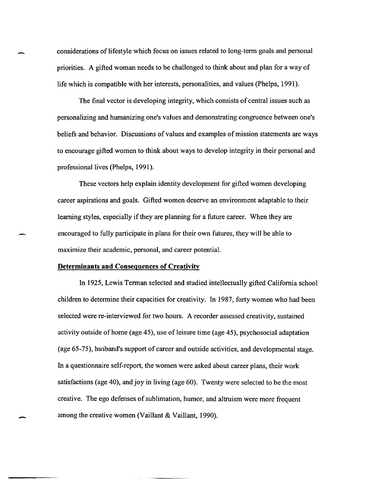considerations of lifestyle which focus on issues related to long-term goals and personal priorities. A gifted woman needs to be challenged to think about and plan for a way of life which is compatible with her interests, personalities, and values (Phelps, 1991).

The final vector is developing integrity, which consists of central issues such as personalizing and humanizing one's values and demonstrating congruence between one's beliefs and behavior. Discussions of values and examples of mission statements are ways to encourage gifted women to think about ways to develop integrity in their personal and professional lives (Phelps, 1991).

These vectors help explain identity development for gifted women developing career aspirations and goals. Gifted women deserve an environment adaptable to their learning styles, especially if they are planning for a future career. When they are encouraged to fully participate in plans for their own futures, they will be able to maximize their academic, personal, and career potential.

## **Determinants and Consequences of Creativity**

-

In 1925, Lewis Terman selected and studied intellectually gifted California school children to determine their capacities for creativity. In 1987, forty women who had been selected were re-interviewed for two hours. A recorder assessed creativity, sustained activity outside of home (age 45), use of leisure time (age 45), psychosocial adaptation (age 65-75), husband's support of career and outside activities, and developmental stage. In a questionnaire self-report, the women were asked about career plans, their work satisfactions (age 40), and joy in living (age 60). Twenty were selected to be the most creative. The ego defenses of sublimation, humor, and altruism were more frequent among the creative women (Vaillant & Vaillant, 1990).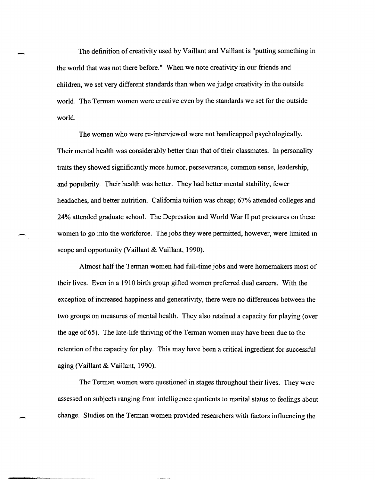The definition of creativity used by Vaillant and Vaillant is "putting something in the world that was not there before." When we note creativity in our friends and children, we set very different standards than when we judge creativity in the outside world. The Terman women were creative even by the standards we set for the outside world.

The women who were re-interviewed were not handicapped psychologically. Their mental health was considerably better than that of their classmates. In personality traits they showed significantly more humor, perseverance, common sense, leadership, and popularity. Their health was better. They had better mental stability, fewer headaches, and better nutrition. California tuition was cheap; 67% attended colleges and 24% attended graduate school. The Depression and World War II put pressures on these women to go into the workforce. The jobs they were permitted, however, were limited in scope and opportunity (Vaillant & Vaillant, 1990).

-

Almost half the Terman women had full-time jobs and were homemakers most of their lives. Even in a 1910 birth group gifted women preferred dual careers. With the exception of increased happiness and generativity, there were no differences between the two groups on measures of mental health. They also retained a capacity for playing (over the age of65). The late-life thriving of the Terman women may have been due to the retention of the capacity for play. This may have been a critical ingredient for successful aging (Vaillant & Vaillant, 1990).

The Terman women were questioned in stages throughout their lives. They were assessed on subjects ranging from intelligence quotients to marital status to feelings about change. Studies on the Terman women provided researchers with factors influencing the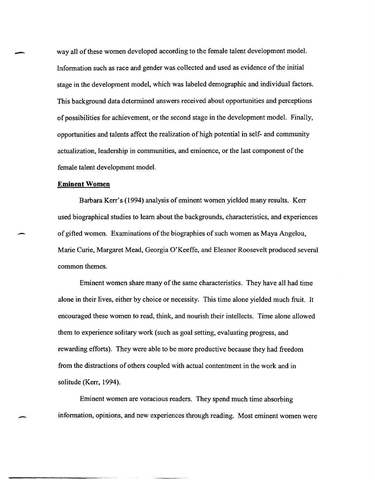way all of these women developed according to the female talent development model. Information such as race and gender was collected and used as evidence of the initial stage in the development model, which was labeled demographic and individual factors. This background data determined answers received about opportunities and perceptions of possibilities for achievement, or the second stage in the development model. Finally, opportunities and talents affect the realization of high potential in self- and community actualization, leadership in communities, and eminence, or the last component of the female talent development model.

## **Eminent Women**

-

 $\overline{\phantom{a}}$ 

-

Barbara Kerr's (1994) analysis of eminent women yielded many results. Kerr used biographical studies to learn about the backgrounds, characteristics, and experiences of gifted women. Examinations of the biographies of such women as Maya Angelou, Marie Curie, Margaret Mead, Georgia Q'Keeffe, and Eleanor Roosevelt produced several common themes.

Eminent women share many of the same characteristics. They have all had time alone in their lives, either by choice or necessity. This time alone yielded much fruit. It encouraged these women to read, think, and nourish their intellects. Time alone allowed them to experience solitary work (such as goal setting, evaluating progress, and rewarding efforts). They were able to be more productive because they had freedom from the distractions of others coupled with actual contentment in the work and in solitude (Kerr, 1994).

Eminent women are voracious readers. They spend much time absorbing information, opinions, and new experiences through reading. Most eminent women were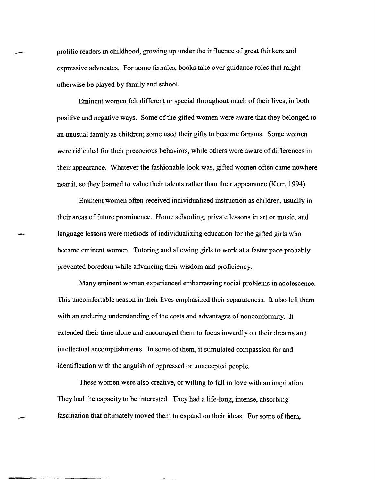prolific readers in childhood, growing up under the influence of great thinkers and expressive advocates. For some females, books take over guidance roles that might otherwise be played by family and school.

Eminent women felt different or special throughout much of their lives, in both positive and negative ways. Some of the gifted women were aware that they belonged to an unusual family as children; some used their gifts to become famous. Some women were ridiculed for their precocious behaviors, while others were aware of differences in their appearance. Whatever the fashionable look was, gifted women often came nowhere near it, so they learned to value their talents rather than their appearance (Kerr, 1994).

Eminent women often received individualized instruction as children, usually in their areas of future prominence. Home schooling, private lessons in art or music, and language lessons were methods of individualizing education for the gifted girls who became eminent women. Tutoring and allowing girls to work at a faster pace probably prevented boredom while advancing their wisdom and proficiency.

Many eminent women experienced embarrassing social problems in adolescence. This uncomfortable season in their lives emphasized their separateness. It also left them with an enduring understanding of the costs and advantages of nonconformity. It extended their time alone and encouraged them to focus inwardly on their dreams and intellectual accomplishments. In some of them, it stimulated compassion for and identification with the anguish of oppressed or unaccepted people.

These women were also creative, or willing to fall in love with an inspiration. They had the capacity to be interested. They had a life-long, intense, absorbing fascination that ultimately moved them to expand on their ideas. For some of them,

-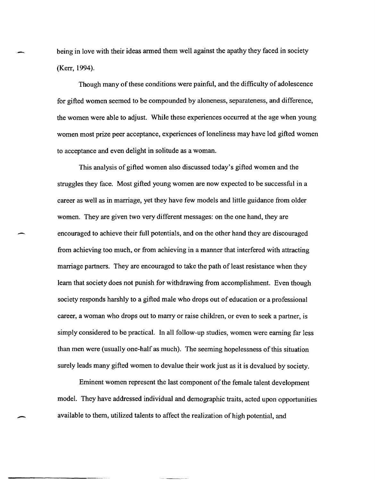being in love with their ideas armed them well against the apathy they faced in society (Kerr, 1994).

Though many of these conditions were painful, and the difficulty of adolescence for gifted women seemed to be compounded by aloneness, separateness, and difference, the women were able to adjust. While these experiences occurred at the age when young women most prize peer acceptance, experiences of loneliness may have led gifted women to acceptance and even delight in solitude as a woman.

This analysis of gifted women also discussed today's gifted women and the struggles they face. Most gifted young women are now expected to be successful in a career as well as in marriage, yet they have few models and little guidance from older women. They are given two very different messages: on the one hand, they are encouraged to achieve their full potentials, and on the other hand they are discouraged from achieving too much, or from achieving in a manner that interfered with attracting marriage partners. They are encouraged to take the path of least resistance when they learn that society does not punish for withdrawing from accomplishment. Even though society responds harshly to a gifted male who drops out of education or a professional career, a woman who drops out to marry or raise children, or even to seek a partner, is simply considered to be practical. In all follow-up studies, women were earning far less than men were (usually one-half as much). The seeming hopelessness of this situation surely leads many gifted women to devalue their work just as it is devalued by society.

-

-

Eminent women represent the last component of the female talent development model. They have addressed individual and demographic traits, acted upon opportunities available to them, utilized talents to affect the realization of high potential, and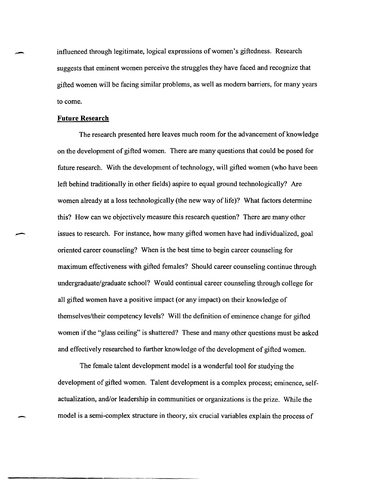influenced through legitimate, logical expressions of women's giftedness. Research suggests that eminent women perceive the struggles they have faced and recognize that gifted women will be facing similar problems, as well as modern barriers, for many years to come.

## **Future Research**

The research presented here leaves much room for the advancement of knowledge on the development of gifted women. There are many questions that could be posed for future research. With the development of technology, will gifted women (who have been left behind traditionally in other fields) aspire to equal ground technologically? Are women already at a loss technologically (the new way of life)? What factors determine this? How can we objectively measure this research question? There are many other issues to research. For instance, how many gifted women have had individualized, goal oriented career counseling? When is the best time to begin career counseling for maximum effectiveness with gifted females? Should career counseling continue through undergraduate/graduate school? Would continual career counseling through college for all gifted women have a positive impact (or any impact) on their knowledge of themselves/their competency levels? Will the definition of eminence change for gifted women if the "glass ceiling" is shattered? These and many other questions must be asked and effectively researched to further knowledge of the development of gifted women.

The female talent development model is a wonderful tool for studying the development of gifted women. Talent development is a complex process; eminence, selfactualization, and/or leadership in communities or organizations is the prize. While the model is a semi-complex structure in theory, six crucial variables explain the process of

-

-

-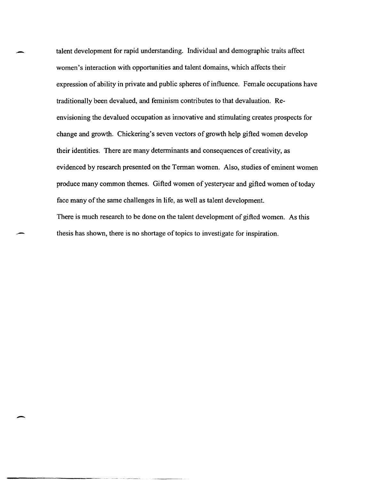talent development for rapid understanding. Individual and demographic traits affect women's interaction with opportunities and talent domains, which affects their expression of ability in private and public spheres of influence. Female occupations have traditionally been devalued, and feminism contributes to that devaluation. Reenvisioning the devalued occupation as innovative and stimulating creates prospects for change and growth. Chickering's seven vectors of growth help gifted women develop their identities. There are many determinants and consequences of creativity, as evidenced by research presented on the Terman women. Also, studies of eminent women produce many common themes. Gifted women of yesteryear and gifted women of today face many of the same challenges in life, as well as talent development. There is much research to be done on the talent development of gifted women. As this thesis has shown, there is no shortage of topics to investigate for inspiration.

-

-

-